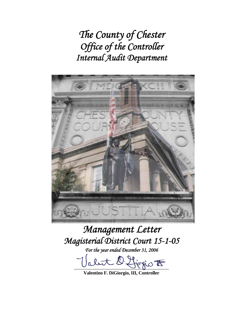*The County of Chester Office of the Controller Internal Audit Department* 



# *Management Letter Magisterial District Court 15-1-05*

*For the year ended December 31, 2006* 

let l'Horio  $t$ 

**Valentino F. DiGiorgio, III, Controller**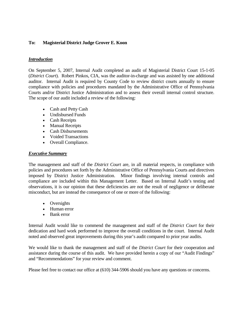## **To: Magisterial District Judge Grover E. Koon**

## *Introduction*

On September 5, 2007, Internal Audit completed an audit of Magisterial District Court 15-1-05 (*District Court*). Robert Pinkos, CIA, was the auditor-in-charge and was assisted by one additional auditor. Internal Audit is required by County Code to review district courts annually to ensure compliance with policies and procedures mandated by the Administrative Office of Pennsylvania Courts and/or District Justice Administration and to assess their overall internal control structure. The scope of our audit included a review of the following:

- Cash and Petty Cash
- Undisbursed Funds
- Cash Receipts
- Manual Receipts
- Cash Disbursements
- Voided Transactions
- Overall Compliance.

## *Executive Summary*

The management and staff of the *District Court* are, in all material respects, in compliance with policies and procedures set forth by the Administrative Office of Pennsylvania Courts and directives imposed by District Justice Administration. Minor findings involving internal controls and compliance are included within this Management Letter. Based on Internal Audit's testing and observations, it is our opinion that these deficiencies are not the result of negligence or deliberate misconduct, but are instead the consequence of one or more of the following:

- Oversights
- Human error
- Bank error

Internal Audit would like to commend the management and staff of the *District Court* for their dedication and hard work performed to improve the overall conditions in the court. Internal Audit noted and observed great improvements during this year's audit compared to prior year audits.

We would like to thank the management and staff of the *District Court* for their cooperation and assistance during the course of this audit. We have provided herein a copy of our "Audit Findings" and "Recommendations" for your review and comment.

Please feel free to contact our office at (610) 344-5906 should you have any questions or concerns.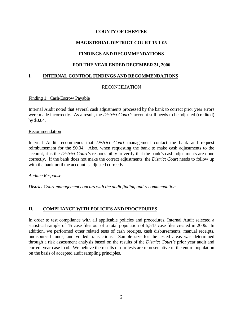## **MAGISTERIAL DISTRICT COURT 15-1-05**

# **FINDINGS AND RECOMMENDATIONS**

## **FOR THE YEAR ENDED DECEMBER 31, 2006**

## **I. INTERNAL CONTROL FINDINGS AND RECOMMENDATIONS**

## RECONCILIATION

#### Finding 1: Cash/Escrow Payable

Internal Audit noted that several cash adjustments processed by the bank to correct prior year errors were made incorrectly. As a result, the *District Court's* account still needs to be adjusted (credited) by \$0.04.

#### Recommendation

Internal Audit recommends that *District Court* management contact the bank and request reimbursement for the \$0.04. Also, when requesting the bank to make cash adjustments to the account, it is the *District Court's* responsibility to verify that the bank's cash adjustments are done correctly. If the bank does not make the correct adjustments, the *District Court* needs to follow up with the bank until the account is adjusted correctly.

*Auditee Response*

*District Court management concurs with the audit finding and recommendation.* 

## **II. COMPLIANCE WITH POLICIES AND PROCEDURES**

In order to test compliance with all applicable policies and procedures, Internal Audit selected a statistical sample of 45 case files out of a total population of 5,547 case files created in 2006. In addition, we performed other related tests of cash receipts, cash disbursements, manual receipts, undisbursed funds, and voided transactions. Sample size for the tested areas was determined through a risk assessment analysis based on the results of the *District Court's* prior year audit and current year case load. We believe the results of our tests are representative of the entire population on the basis of accepted audit sampling principles.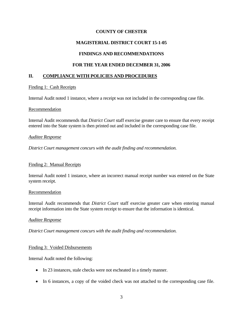# **MAGISTERIAL DISTRICT COURT 15-1-05**

## **FINDINGS AND RECOMMENDATIONS**

## **FOR THE YEAR ENDED DECEMBER 31, 2006**

## **II. COMPLIANCE WITH POLICIES AND PROCEDURES**

## Finding 1: Cash Receipts

Internal Audit noted 1 instance, where a receipt was not included in the corresponding case file.

#### Recommendation

Internal Audit recommends that *District Court* staff exercise greater care to ensure that every receipt entered into the State system is then printed out and included in the corresponding case file.

#### *Auditee Response*

*District Court management concurs with the audit finding and recommendation.* 

## Finding 2: Manual Receipts

Internal Audit noted 1 instance, where an incorrect manual receipt number was entered on the State system receipt.

#### Recommendation

Internal Audit recommends that *District Court* staff exercise greater care when entering manual receipt information into the State system receipt to ensure that the information is identical.

## *Auditee Response*

*District Court management concurs with the audit finding and recommendation.* 

## Finding 3: Voided Disbursements

Internal Audit noted the following:

- In 23 instances, stale checks were not escheated in a timely manner.
- In 6 instances, a copy of the voided check was not attached to the corresponding case file.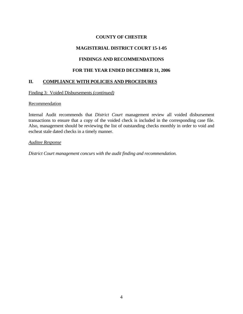# **MAGISTERIAL DISTRICT COURT 15-1-05**

# **FINDINGS AND RECOMMENDATIONS**

## **FOR THE YEAR ENDED DECEMBER 31, 2006**

# **II. COMPLIANCE WITH POLICIES AND PROCEDURES**

Finding 3: Voided Disbursements *(continued)*

#### **Recommendation**

Internal Audit recommends that *District Court* management review all voided disbursement transactions to ensure that a copy of the voided check is included in the corresponding case file. Also, management should be reviewing the list of outstanding checks monthly in order to void and escheat stale dated checks in a timely manner.

#### *Auditee Response*

*District Court management concurs with the audit finding and recommendation.*